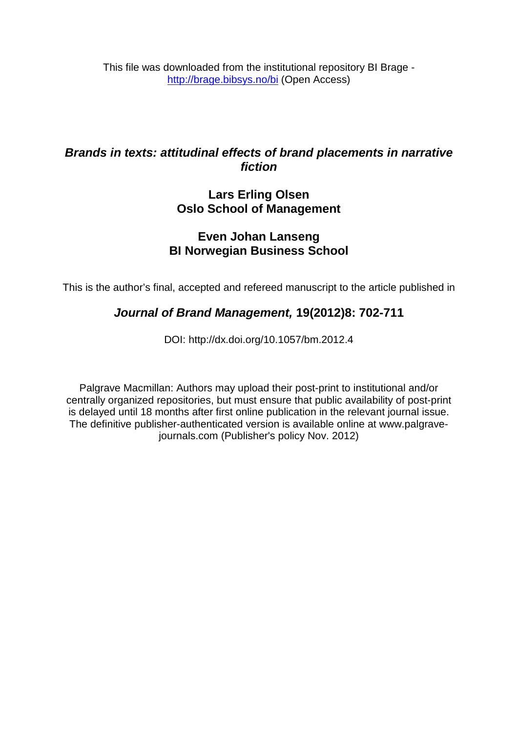This file was downloaded from the institutional repository BI Brage <http://brage.bibsys.no/bi> (Open Access)

# *Brands in texts: attitudinal effects of brand placements in narrative fiction*

# **Lars Erling Olsen Oslo School of Management**

# **Even Johan Lanseng BI Norwegian Business School**

This is the author's final, accepted and refereed manuscript to the article published in

# *Journal of Brand Management,* **19(2012)8: 702-711**

DOI: http://dx.doi.org/10.1057/bm.2012.4

Palgrave Macmillan: Authors may upload their post-print to institutional and/or centrally organized repositories, but must ensure that public availability of post-print is delayed until 18 months after first online publication in the relevant journal issue. The definitive publisher-authenticated version is available online at www.palgravejournals.com (Publisher's policy Nov. 2012)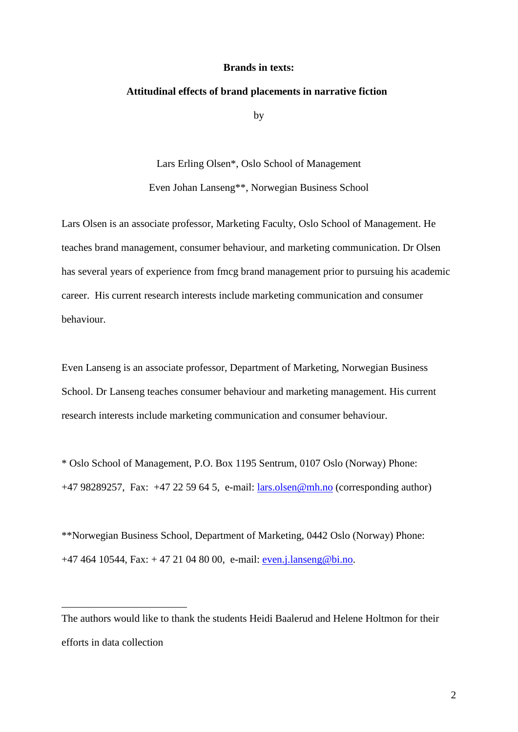#### **Brands in texts:**

#### **Attitudinal effects of brand placements in narrative fiction[1](#page-1-0)**

by

Lars Erling Olsen\*, Oslo School of Management

Even Johan Lanseng\*\*, Norwegian Business School

Lars Olsen is an associate professor, Marketing Faculty, Oslo School of Management. He teaches brand management, consumer behaviour, and marketing communication. Dr Olsen has several years of experience from fmcg brand management prior to pursuing his academic career. His current research interests include marketing communication and consumer behaviour.

Even Lanseng is an associate professor, Department of Marketing, Norwegian Business School. Dr Lanseng teaches consumer behaviour and marketing management. His current research interests include marketing communication and consumer behaviour.

\* Oslo School of Management, P.O. Box 1195 Sentrum, 0107 Oslo (Norway) Phone: +47 98289257, Fax: +47 22 59 64 5, e-mail: [lars.olsen@mh.no](mailto:lars.olsen@mh.no) (corresponding author)

\*\*Norwegian Business School, Department of Marketing, 0442 Oslo (Norway) Phone: +47 464 10544, Fax: + 47 21 04 80 00, e-mail: [even.j.lanseng@bi.no.](mailto:even.j.lanseng@bi.no)

 $\overline{a}$ 

<span id="page-1-0"></span>The authors would like to thank the students Heidi Baalerud and Helene Holtmon for their efforts in data collection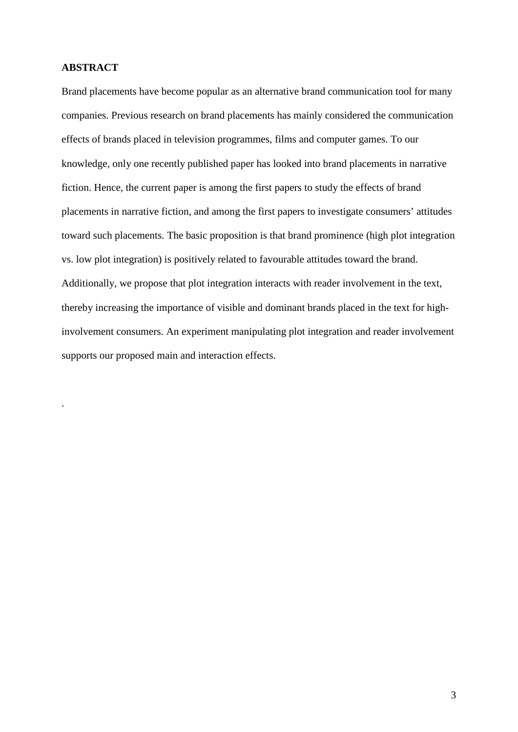# **ABSTRACT**

.

Brand placements have become popular as an alternative brand communication tool for many companies. Previous research on brand placements has mainly considered the communication effects of brands placed in television programmes, films and computer games. To our knowledge, only one recently published paper has looked into brand placements in narrative fiction. Hence, the current paper is among the first papers to study the effects of brand placements in narrative fiction, and among the first papers to investigate consumers' attitudes toward such placements. The basic proposition is that brand prominence (high plot integration vs. low plot integration) is positively related to favourable attitudes toward the brand. Additionally, we propose that plot integration interacts with reader involvement in the text, thereby increasing the importance of visible and dominant brands placed in the text for highinvolvement consumers. An experiment manipulating plot integration and reader involvement supports our proposed main and interaction effects.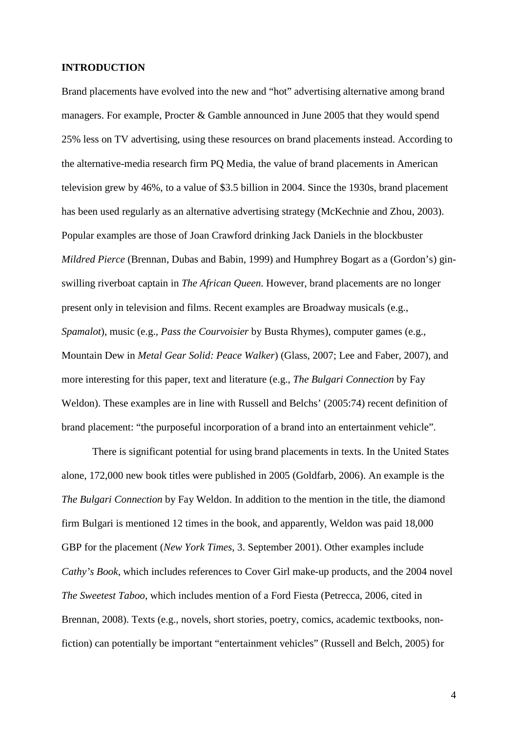#### **INTRODUCTION**

Brand placements have evolved into the new and "hot" advertising alternative among brand managers. For example, Procter & Gamble announced in June 2005 that they would spend 25% less on TV advertising, using these resources on brand placements instead. According to the alternative-media research firm PQ Media, the value of brand placements in American television grew by 46%, to a value of \$3.5 billion in 2004. Since the 1930s, brand placement has been used regularly as an alternative advertising strategy (McKechnie and Zhou, 2003). Popular examples are those of Joan Crawford drinking Jack Daniels in the blockbuster *Mildred Pierce* (Brennan, Dubas and Babin, 1999) and Humphrey Bogart as a (Gordon's) ginswilling riverboat captain in *The African Queen*. However, brand placements are no longer present only in television and films. Recent examples are Broadway musicals (e.g., *Spamalot*), music (e.g., *Pass the Courvoisier* by Busta Rhymes), computer games (e.g., Mountain Dew in *Metal Gear Solid: Peace Walker*) (Glass, 2007; Lee and Faber, 2007), and more interesting for this paper, text and literature (e.g., *The Bulgari Connection* by Fay Weldon). These examples are in line with Russell and Belchs' (2005:74) recent definition of brand placement: "the purposeful incorporation of a brand into an entertainment vehicle".

There is significant potential for using brand placements in texts. In the United States alone, 172,000 new book titles were published in 2005 (Goldfarb, 2006). An example is the *The Bulgari Connection* by Fay Weldon. In addition to the mention in the title, the diamond firm Bulgari is mentioned 12 times in the book, and apparently, Weldon was paid 18,000 GBP for the placement (*New York Times*, 3. September 2001). Other examples include *Cathy's Book*, which includes references to Cover Girl make-up products, and the 2004 novel *The Sweetest Taboo*, which includes mention of a Ford Fiesta (Petrecca, 2006, cited in Brennan, 2008). Texts (e.g., novels, short stories, poetry, comics, academic textbooks, nonfiction) can potentially be important "entertainment vehicles" (Russell and Belch, 2005) for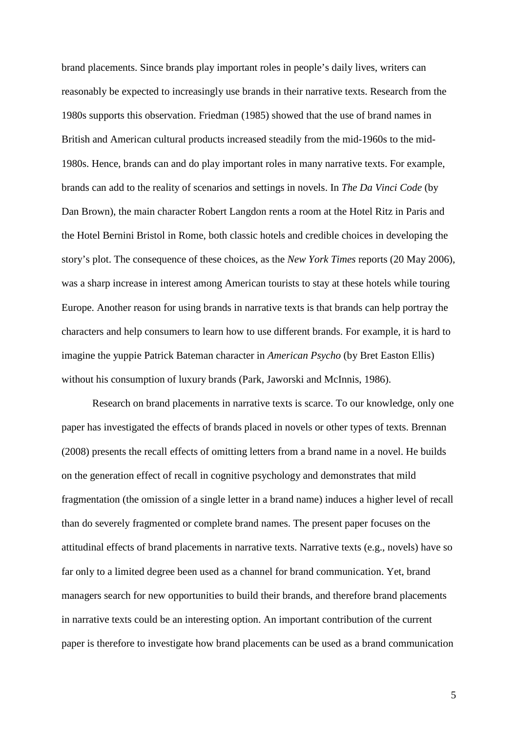brand placements. Since brands play important roles in people's daily lives, writers can reasonably be expected to increasingly use brands in their narrative texts. Research from the 1980s supports this observation. Friedman (1985) showed that the use of brand names in British and American cultural products increased steadily from the mid-1960s to the mid-1980s. Hence, brands can and do play important roles in many narrative texts. For example, brands can add to the reality of scenarios and settings in novels. In *The Da Vinci Code* (by Dan Brown), the main character Robert Langdon rents a room at the Hotel Ritz in Paris and the Hotel Bernini Bristol in Rome, both classic hotels and credible choices in developing the story's plot. The consequence of these choices, as the *New York Times* reports (20 May 2006), was a sharp increase in interest among American tourists to stay at these hotels while touring Europe. Another reason for using brands in narrative texts is that brands can help portray the characters and help consumers to learn how to use different brands. For example, it is hard to imagine the yuppie Patrick Bateman character in *American Psycho* (by Bret Easton Ellis) without his consumption of luxury brands (Park, Jaworski and McInnis, 1986).

Research on brand placements in narrative texts is scarce. To our knowledge, only one paper has investigated the effects of brands placed in novels or other types of texts. Brennan (2008) presents the recall effects of omitting letters from a brand name in a novel. He builds on the generation effect of recall in cognitive psychology and demonstrates that mild fragmentation (the omission of a single letter in a brand name) induces a higher level of recall than do severely fragmented or complete brand names. The present paper focuses on the attitudinal effects of brand placements in narrative texts. Narrative texts (e.g., novels) have so far only to a limited degree been used as a channel for brand communication. Yet, brand managers search for new opportunities to build their brands, and therefore brand placements in narrative texts could be an interesting option. An important contribution of the current paper is therefore to investigate how brand placements can be used as a brand communication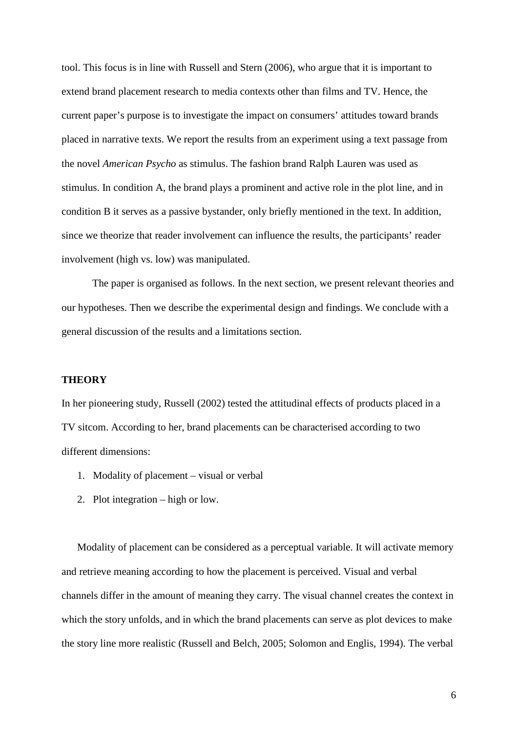tool. This focus is in line with Russell and Stern (2006), who argue that it is important to extend brand placement research to media contexts other than films and TV. Hence, the current paper's purpose is to investigate the impact on consumers' attitudes toward brands placed in narrative texts. We report the results from an experiment using a text passage from the novel *American Psycho* as stimulus. The fashion brand Ralph Lauren was used as stimulus. In condition A, the brand plays a prominent and active role in the plot line, and in condition B it serves as a passive bystander, only briefly mentioned in the text. In addition, since we theorize that reader involvement can influence the results, the participants' reader involvement (high vs. low) was manipulated.

The paper is organised as follows. In the next section, we present relevant theories and our hypotheses. Then we describe the experimental design and findings. We conclude with a general discussion of the results and a limitations section.

## **THEORY**

In her pioneering study, Russell (2002) tested the attitudinal effects of products placed in a TV sitcom. According to her, brand placements can be characterised according to two different dimensions:

- 1. Modality of placement visual or verbal
- 2. Plot integration high or low.

Modality of placement can be considered as a perceptual variable. It will activate memory and retrieve meaning according to how the placement is perceived. Visual and verbal channels differ in the amount of meaning they carry. The visual channel creates the context in which the story unfolds, and in which the brand placements can serve as plot devices to make the story line more realistic (Russell and Belch, 2005; Solomon and Englis, 1994). The verbal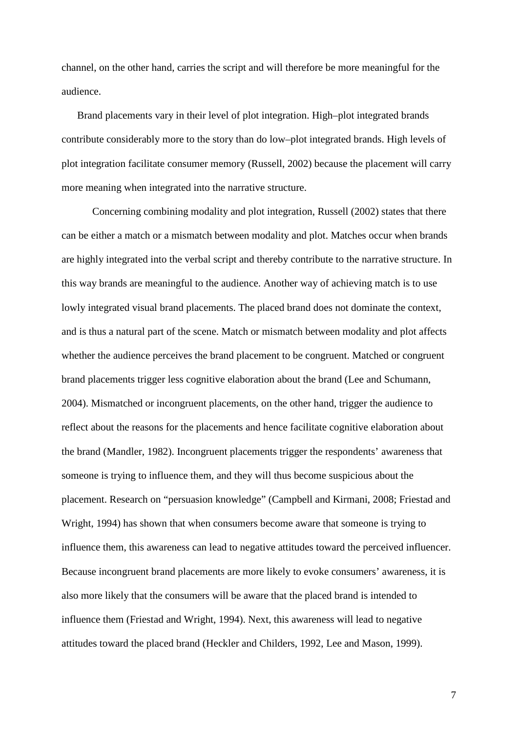channel, on the other hand, carries the script and will therefore be more meaningful for the audience.

Brand placements vary in their level of plot integration. High–plot integrated brands contribute considerably more to the story than do low–plot integrated brands. High levels of plot integration facilitate consumer memory (Russell, 2002) because the placement will carry more meaning when integrated into the narrative structure.

Concerning combining modality and plot integration, Russell (2002) states that there can be either a match or a mismatch between modality and plot. Matches occur when brands are highly integrated into the verbal script and thereby contribute to the narrative structure. In this way brands are meaningful to the audience. Another way of achieving match is to use lowly integrated visual brand placements. The placed brand does not dominate the context, and is thus a natural part of the scene. Match or mismatch between modality and plot affects whether the audience perceives the brand placement to be congruent. Matched or congruent brand placements trigger less cognitive elaboration about the brand (Lee and Schumann, 2004). Mismatched or incongruent placements, on the other hand, trigger the audience to reflect about the reasons for the placements and hence facilitate cognitive elaboration about the brand (Mandler, 1982). Incongruent placements trigger the respondents' awareness that someone is trying to influence them, and they will thus become suspicious about the placement. Research on "persuasion knowledge" (Campbell and Kirmani, 2008; Friestad and Wright, 1994) has shown that when consumers become aware that someone is trying to influence them, this awareness can lead to negative attitudes toward the perceived influencer. Because incongruent brand placements are more likely to evoke consumers' awareness, it is also more likely that the consumers will be aware that the placed brand is intended to influence them (Friestad and Wright, 1994). Next, this awareness will lead to negative attitudes toward the placed brand (Heckler and Childers, 1992, Lee and Mason, 1999).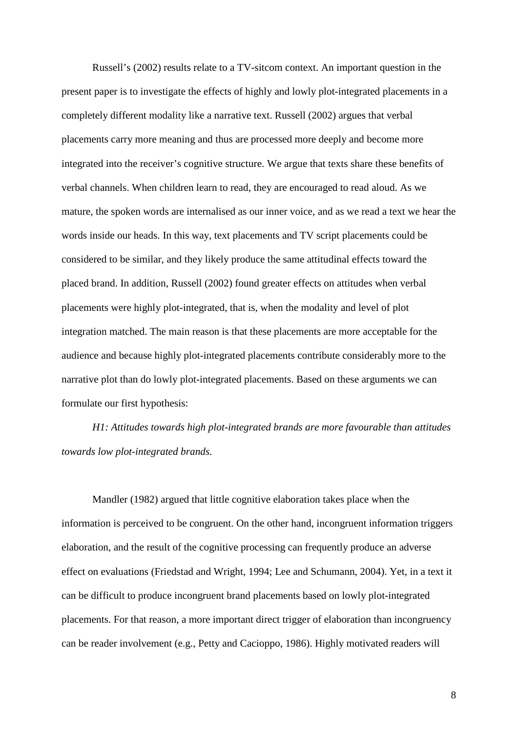Russell's (2002) results relate to a TV-sitcom context. An important question in the present paper is to investigate the effects of highly and lowly plot-integrated placements in a completely different modality like a narrative text. Russell (2002) argues that verbal placements carry more meaning and thus are processed more deeply and become more integrated into the receiver's cognitive structure. We argue that texts share these benefits of verbal channels. When children learn to read, they are encouraged to read aloud. As we mature, the spoken words are internalised as our inner voice, and as we read a text we hear the words inside our heads. In this way, text placements and TV script placements could be considered to be similar, and they likely produce the same attitudinal effects toward the placed brand. In addition, Russell (2002) found greater effects on attitudes when verbal placements were highly plot-integrated, that is, when the modality and level of plot integration matched. The main reason is that these placements are more acceptable for the audience and because highly plot-integrated placements contribute considerably more to the narrative plot than do lowly plot-integrated placements. Based on these arguments we can formulate our first hypothesis:

*H1: Attitudes towards high plot-integrated brands are more favourable than attitudes towards low plot-integrated brands.*

Mandler (1982) argued that little cognitive elaboration takes place when the information is perceived to be congruent. On the other hand, incongruent information triggers elaboration, and the result of the cognitive processing can frequently produce an adverse effect on evaluations (Friedstad and Wright, 1994; Lee and Schumann, 2004). Yet, in a text it can be difficult to produce incongruent brand placements based on lowly plot-integrated placements. For that reason, a more important direct trigger of elaboration than incongruency can be reader involvement (e.g., Petty and Cacioppo, 1986). Highly motivated readers will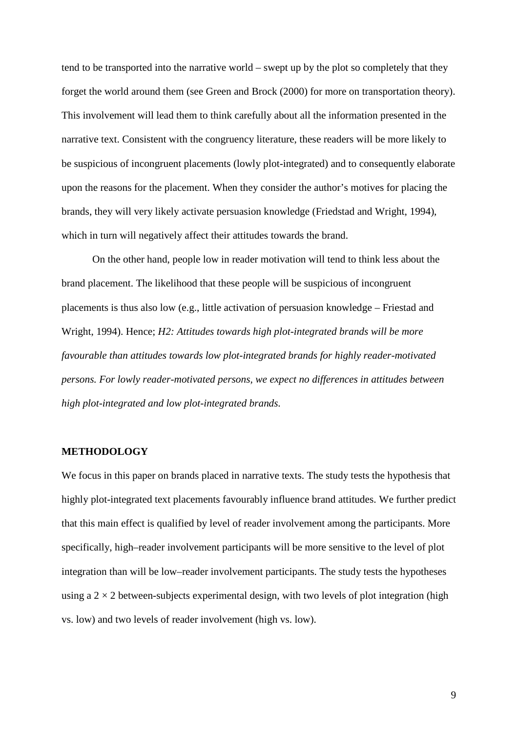tend to be transported into the narrative world – swept up by the plot so completely that they forget the world around them (see Green and Brock (2000) for more on transportation theory). This involvement will lead them to think carefully about all the information presented in the narrative text. Consistent with the congruency literature, these readers will be more likely to be suspicious of incongruent placements (lowly plot-integrated) and to consequently elaborate upon the reasons for the placement. When they consider the author's motives for placing the brands, they will very likely activate persuasion knowledge (Friedstad and Wright, 1994), which in turn will negatively affect their attitudes towards the brand.

On the other hand, people low in reader motivation will tend to think less about the brand placement. The likelihood that these people will be suspicious of incongruent placements is thus also low (e.g., little activation of persuasion knowledge – Friestad and Wright, 1994). Hence; *H2: Attitudes towards high plot-integrated brands will be more favourable than attitudes towards low plot-integrated brands for highly reader-motivated persons. For lowly reader-motivated persons, we expect no differences in attitudes between high plot-integrated and low plot-integrated brands.*

#### **METHODOLOGY**

We focus in this paper on brands placed in narrative texts. The study tests the hypothesis that highly plot-integrated text placements favourably influence brand attitudes. We further predict that this main effect is qualified by level of reader involvement among the participants. More specifically, high–reader involvement participants will be more sensitive to the level of plot integration than will be low–reader involvement participants. The study tests the hypotheses using a  $2 \times 2$  between-subjects experimental design, with two levels of plot integration (high vs. low) and two levels of reader involvement (high vs. low).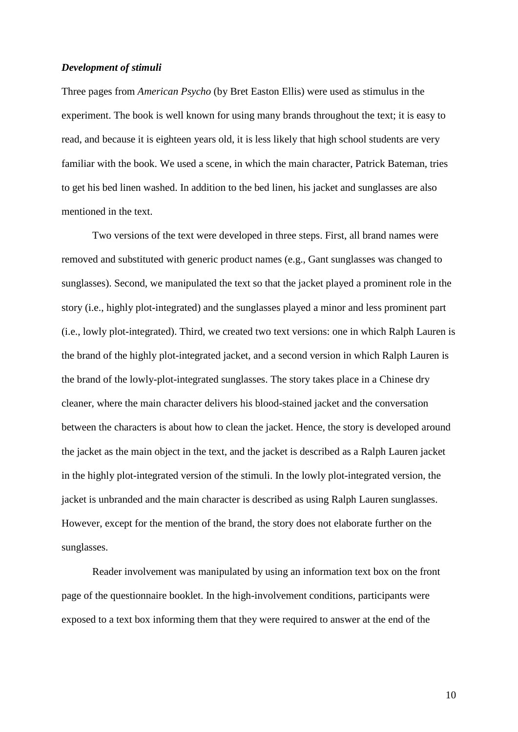#### *Development of stimuli*

Three pages from *American Psycho* (by Bret Easton Ellis) were used as stimulus in the experiment. The book is well known for using many brands throughout the text; it is easy to read, and because it is eighteen years old, it is less likely that high school students are very familiar with the book. We used a scene, in which the main character, Patrick Bateman, tries to get his bed linen washed. In addition to the bed linen, his jacket and sunglasses are also mentioned in the text.

Two versions of the text were developed in three steps. First, all brand names were removed and substituted with generic product names (e.g., Gant sunglasses was changed to sunglasses). Second, we manipulated the text so that the jacket played a prominent role in the story (i.e., highly plot-integrated) and the sunglasses played a minor and less prominent part (i.e., lowly plot-integrated). Third, we created two text versions: one in which Ralph Lauren is the brand of the highly plot-integrated jacket, and a second version in which Ralph Lauren is the brand of the lowly-plot-integrated sunglasses. The story takes place in a Chinese dry cleaner, where the main character delivers his blood-stained jacket and the conversation between the characters is about how to clean the jacket. Hence, the story is developed around the jacket as the main object in the text, and the jacket is described as a Ralph Lauren jacket in the highly plot-integrated version of the stimuli. In the lowly plot-integrated version, the jacket is unbranded and the main character is described as using Ralph Lauren sunglasses. However, except for the mention of the brand, the story does not elaborate further on the sunglasses.

Reader involvement was manipulated by using an information text box on the front page of the questionnaire booklet. In the high-involvement conditions, participants were exposed to a text box informing them that they were required to answer at the end of the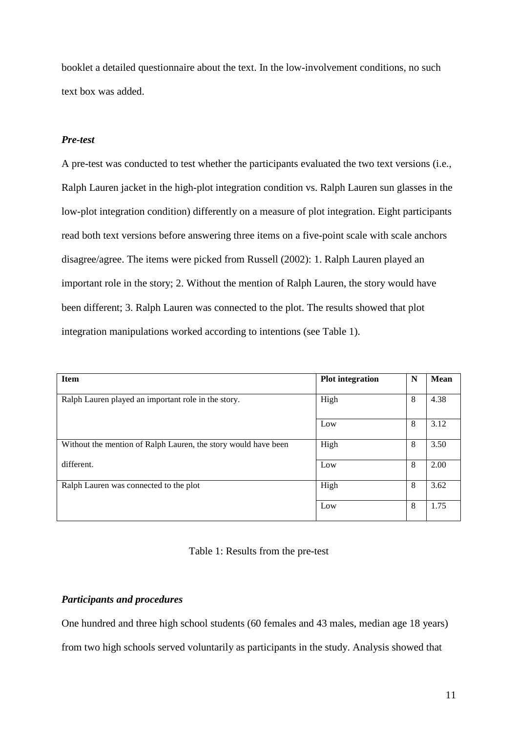booklet a detailed questionnaire about the text. In the low-involvement conditions, no such text box was added.

## *Pre-test*

A pre-test was conducted to test whether the participants evaluated the two text versions (i.e., Ralph Lauren jacket in the high-plot integration condition vs. Ralph Lauren sun glasses in the low-plot integration condition) differently on a measure of plot integration. Eight participants read both text versions before answering three items on a five-point scale with scale anchors disagree/agree. The items were picked from Russell (2002): 1. Ralph Lauren played an important role in the story; 2. Without the mention of Ralph Lauren, the story would have been different; 3. Ralph Lauren was connected to the plot. The results showed that plot integration manipulations worked according to intentions (see Table 1).

| <b>Item</b>                                                    | <b>Plot integration</b> | N | <b>Mean</b> |
|----------------------------------------------------------------|-------------------------|---|-------------|
| Ralph Lauren played an important role in the story.            | High                    | 8 | 4.38        |
|                                                                | Low                     | 8 | 3.12        |
| Without the mention of Ralph Lauren, the story would have been | High                    | 8 | 3.50        |
| different.                                                     | Low                     | 8 | 2.00        |
| Ralph Lauren was connected to the plot                         | High                    | 8 | 3.62        |
|                                                                | Low                     | 8 | 1.75        |

## Table 1: Results from the pre-test

## *Participants and procedures*

One hundred and three high school students (60 females and 43 males, median age 18 years)

from two high schools served voluntarily as participants in the study. Analysis showed that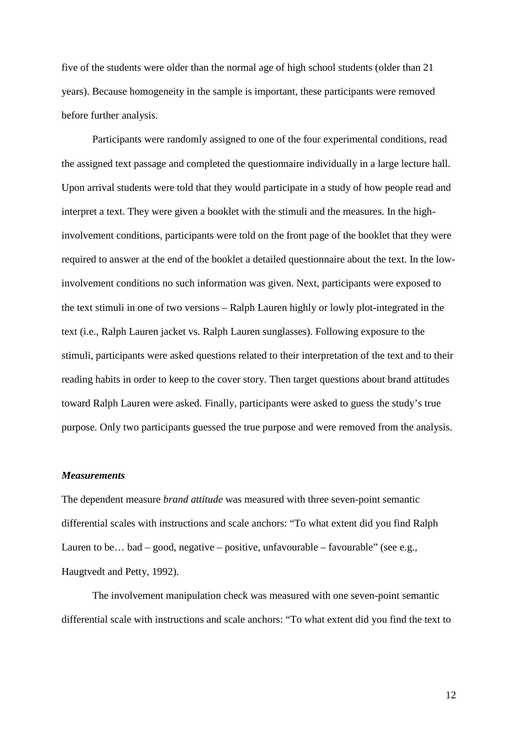five of the students were older than the normal age of high school students (older than 21 years). Because homogeneity in the sample is important, these participants were removed before further analysis.

Participants were randomly assigned to one of the four experimental conditions, read the assigned text passage and completed the questionnaire individually in a large lecture hall. Upon arrival students were told that they would participate in a study of how people read and interpret a text. They were given a booklet with the stimuli and the measures. In the highinvolvement conditions, participants were told on the front page of the booklet that they were required to answer at the end of the booklet a detailed questionnaire about the text. In the lowinvolvement conditions no such information was given. Next, participants were exposed to the text stimuli in one of two versions – Ralph Lauren highly or lowly plot-integrated in the text (i.e., Ralph Lauren jacket vs. Ralph Lauren sunglasses). Following exposure to the stimuli, participants were asked questions related to their interpretation of the text and to their reading habits in order to keep to the cover story. Then target questions about brand attitudes toward Ralph Lauren were asked. Finally, participants were asked to guess the study's true purpose. Only two participants guessed the true purpose and were removed from the analysis.

#### *Measurements*

The dependent measure *brand attitude* was measured with three seven-point semantic differential scales with instructions and scale anchors: "To what extent did you find Ralph Lauren to be... bad – good, negative – positive, unfavourable – favourable" (see e.g., Haugtvedt and Petty, 1992).

The involvement manipulation check was measured with one seven-point semantic differential scale with instructions and scale anchors: "To what extent did you find the text to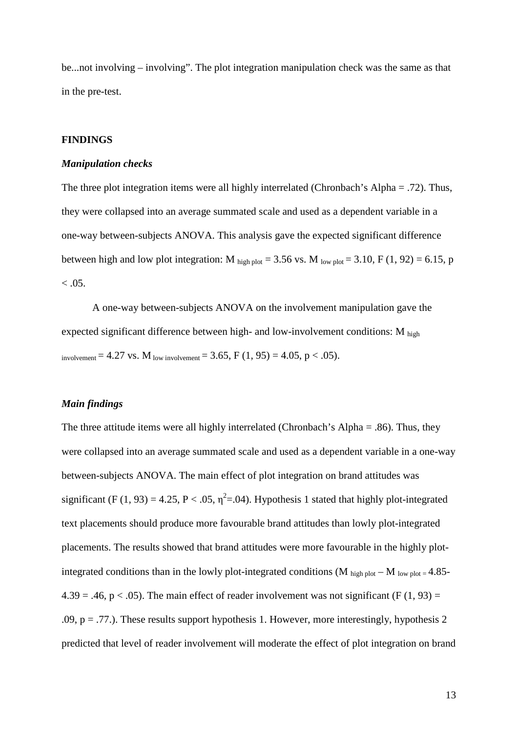be...not involving – involving". The plot integration manipulation check was the same as that in the pre-test.

## **FINDINGS**

#### *Manipulation checks*

The three plot integration items were all highly interrelated (Chronbach's Alpha = .72). Thus, they were collapsed into an average summated scale and used as a dependent variable in a one-way between-subjects ANOVA. This analysis gave the expected significant difference between high and low plot integration: M  $_{\text{high plot}}$  = 3.56 vs. M  $_{\text{low plot}}$  = 3.10, F (1, 92) = 6.15, p  $< 0.05$ .

A one-way between-subjects ANOVA on the involvement manipulation gave the expected significant difference between high- and low-involvement conditions: M high involvement = 4.27 vs. M low involvement = 3.65, F  $(1, 95) = 4.05$ , p < .05).

### *Main findings*

The three attitude items were all highly interrelated (Chronbach's Alpha = .86). Thus, they were collapsed into an average summated scale and used as a dependent variable in a one-way between-subjects ANOVA. The main effect of plot integration on brand attitudes was significant (F (1, 93) = 4.25, P < .05,  $\eta^2$ =.04). Hypothesis 1 stated that highly plot-integrated text placements should produce more favourable brand attitudes than lowly plot-integrated placements. The results showed that brand attitudes were more favourable in the highly plotintegrated conditions than in the lowly plot-integrated conditions (M  $_{\text{high plot}} - M_{\text{low plot}} = 4.85$ - $4.39 = .46$ , p < .05). The main effect of reader involvement was not significant (F (1, 93) = .09,  $p = .77$ .). These results support hypothesis 1. However, more interestingly, hypothesis 2 predicted that level of reader involvement will moderate the effect of plot integration on brand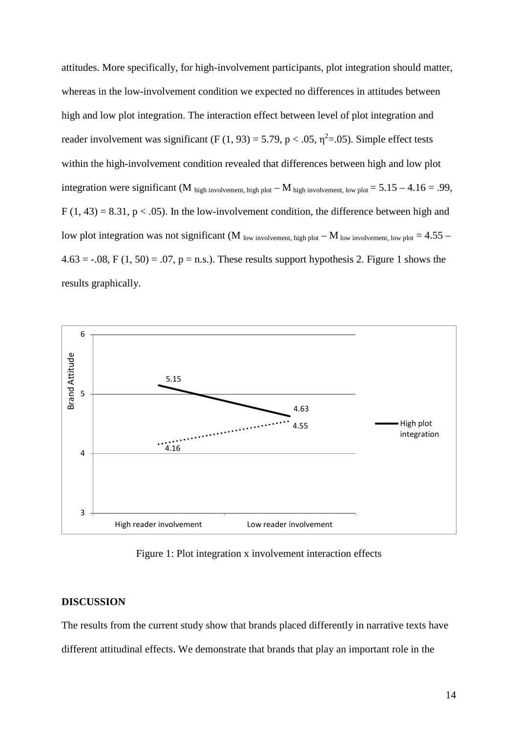attitudes. More specifically, for high-involvement participants, plot integration should matter, whereas in the low-involvement condition we expected no differences in attitudes between high and low plot integration. The interaction effect between level of plot integration and reader involvement was significant (F (1, 93) = 5.79, p < .05,  $\eta^2$ =.05). Simple effect tests within the high-involvement condition revealed that differences between high and low plot integration were significant (M high involvement, high plot  $-M$  high involvement, low plot  $= 5.15 - 4.16 = .99$ ,  $F(1, 43) = 8.31$ ,  $p < .05$ ). In the low-involvement condition, the difference between high and low plot integration was not significant (M  $_{low}$  involvement, high plot – M  $_{low}$  involvement, low plot = 4.55 –  $4.63 = -0.08$ , F (1, 50) = .07, p = n.s.). These results support hypothesis 2. Figure 1 shows the results graphically.



Figure 1: Plot integration x involvement interaction effects

#### **DISCUSSION**

The results from the current study show that brands placed differently in narrative texts have different attitudinal effects. We demonstrate that brands that play an important role in the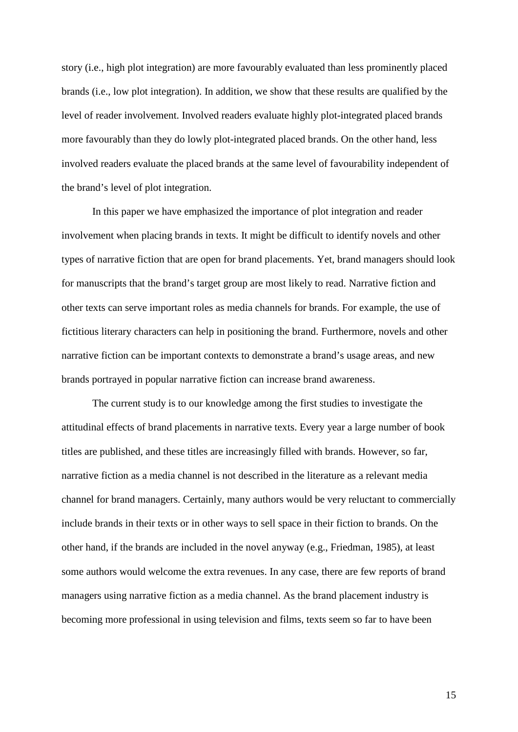story (i.e., high plot integration) are more favourably evaluated than less prominently placed brands (i.e., low plot integration). In addition, we show that these results are qualified by the level of reader involvement. Involved readers evaluate highly plot-integrated placed brands more favourably than they do lowly plot-integrated placed brands. On the other hand, less involved readers evaluate the placed brands at the same level of favourability independent of the brand's level of plot integration.

In this paper we have emphasized the importance of plot integration and reader involvement when placing brands in texts. It might be difficult to identify novels and other types of narrative fiction that are open for brand placements. Yet, brand managers should look for manuscripts that the brand's target group are most likely to read. Narrative fiction and other texts can serve important roles as media channels for brands. For example, the use of fictitious literary characters can help in positioning the brand. Furthermore, novels and other narrative fiction can be important contexts to demonstrate a brand's usage areas, and new brands portrayed in popular narrative fiction can increase brand awareness.

The current study is to our knowledge among the first studies to investigate the attitudinal effects of brand placements in narrative texts. Every year a large number of book titles are published, and these titles are increasingly filled with brands. However, so far, narrative fiction as a media channel is not described in the literature as a relevant media channel for brand managers. Certainly, many authors would be very reluctant to commercially include brands in their texts or in other ways to sell space in their fiction to brands. On the other hand, if the brands are included in the novel anyway (e.g., Friedman, 1985), at least some authors would welcome the extra revenues. In any case, there are few reports of brand managers using narrative fiction as a media channel. As the brand placement industry is becoming more professional in using television and films, texts seem so far to have been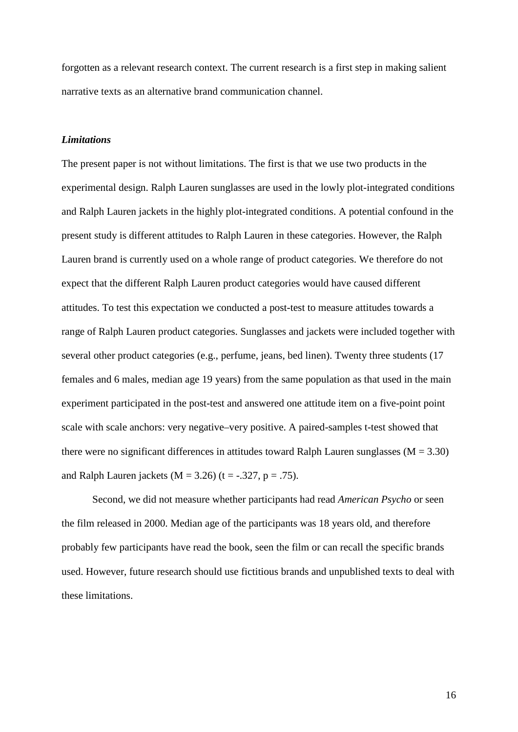forgotten as a relevant research context. The current research is a first step in making salient narrative texts as an alternative brand communication channel.

# *Limitations*

The present paper is not without limitations. The first is that we use two products in the experimental design. Ralph Lauren sunglasses are used in the lowly plot-integrated conditions and Ralph Lauren jackets in the highly plot-integrated conditions. A potential confound in the present study is different attitudes to Ralph Lauren in these categories. However, the Ralph Lauren brand is currently used on a whole range of product categories. We therefore do not expect that the different Ralph Lauren product categories would have caused different attitudes. To test this expectation we conducted a post-test to measure attitudes towards a range of Ralph Lauren product categories. Sunglasses and jackets were included together with several other product categories (e.g., perfume, jeans, bed linen). Twenty three students (17 females and 6 males, median age 19 years) from the same population as that used in the main experiment participated in the post-test and answered one attitude item on a five-point point scale with scale anchors: very negative–very positive. A paired-samples t-test showed that there were no significant differences in attitudes toward Ralph Lauren sunglasses  $(M = 3.30)$ and Ralph Lauren jackets ( $M = 3.26$ ) (t = -.327, p = .75).

Second, we did not measure whether participants had read *American Psycho* or seen the film released in 2000. Median age of the participants was 18 years old, and therefore probably few participants have read the book, seen the film or can recall the specific brands used. However, future research should use fictitious brands and unpublished texts to deal with these limitations.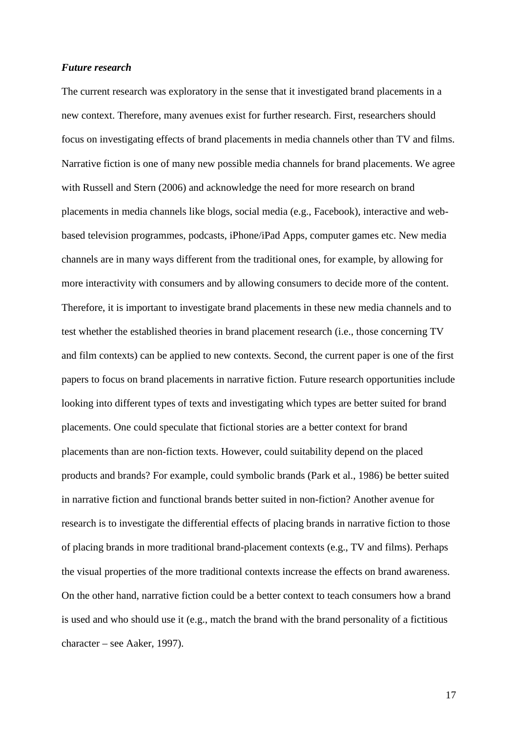#### *Future research*

The current research was exploratory in the sense that it investigated brand placements in a new context. Therefore, many avenues exist for further research. First, researchers should focus on investigating effects of brand placements in media channels other than TV and films. Narrative fiction is one of many new possible media channels for brand placements. We agree with Russell and Stern (2006) and acknowledge the need for more research on brand placements in media channels like blogs, social media (e.g., Facebook), interactive and webbased television programmes, podcasts, iPhone/iPad Apps, computer games etc. New media channels are in many ways different from the traditional ones, for example, by allowing for more interactivity with consumers and by allowing consumers to decide more of the content. Therefore, it is important to investigate brand placements in these new media channels and to test whether the established theories in brand placement research (i.e., those concerning TV and film contexts) can be applied to new contexts. Second, the current paper is one of the first papers to focus on brand placements in narrative fiction. Future research opportunities include looking into different types of texts and investigating which types are better suited for brand placements. One could speculate that fictional stories are a better context for brand placements than are non-fiction texts. However, could suitability depend on the placed products and brands? For example, could symbolic brands (Park et al., 1986) be better suited in narrative fiction and functional brands better suited in non-fiction? Another avenue for research is to investigate the differential effects of placing brands in narrative fiction to those of placing brands in more traditional brand-placement contexts (e.g., TV and films). Perhaps the visual properties of the more traditional contexts increase the effects on brand awareness. On the other hand, narrative fiction could be a better context to teach consumers how a brand is used and who should use it (e.g., match the brand with the brand personality of a fictitious character – see Aaker, 1997).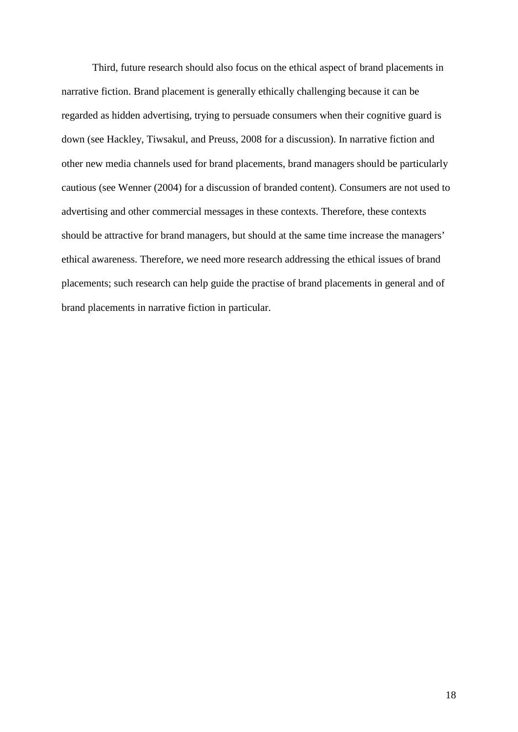Third, future research should also focus on the ethical aspect of brand placements in narrative fiction. Brand placement is generally ethically challenging because it can be regarded as hidden advertising, trying to persuade consumers when their cognitive guard is down (see Hackley, Tiwsakul, and Preuss, 2008 for a discussion). In narrative fiction and other new media channels used for brand placements, brand managers should be particularly cautious (see Wenner (2004) for a discussion of branded content). Consumers are not used to advertising and other commercial messages in these contexts. Therefore, these contexts should be attractive for brand managers, but should at the same time increase the managers' ethical awareness. Therefore, we need more research addressing the ethical issues of brand placements; such research can help guide the practise of brand placements in general and of brand placements in narrative fiction in particular.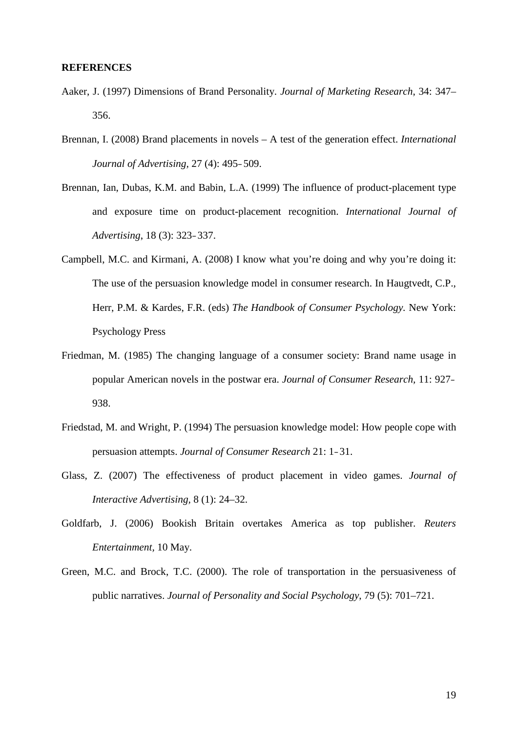#### **REFERENCES**

- Aaker, J. (1997) Dimensions of Brand Personality. *Journal of Marketing Research*, 34: 347– 356.
- Brennan, I. (2008) Brand placements in novels A test of the generation effect. *International Journal of Advertising,* 27 (4): 495–509.
- Brennan, Ian, Dubas, K.M. and Babin, L.A. (1999) The influence of product-placement type and exposure time on product-placement recognition. *International Journal of Advertising*, 18 (3): 323–337.
- Campbell, M.C. and Kirmani, A. (2008) I know what you're doing and why you're doing it: The use of the persuasion knowledge model in consumer research. In Haugtvedt, C.P., Herr, P.M. & Kardes, F.R. (eds) *The Handbook of Consumer Psychology.* New York: Psychology Press
- Friedman, M. (1985) The changing language of a consumer society: Brand name usage in popular American novels in the postwar era. *Journal of Consumer Research,* 11: 927– 938.
- Friedstad, M. and Wright, P. (1994) The persuasion knowledge model: How people cope with persuasion attempts. *Journal of Consumer Research* 21: 1–31.
- Glass, Z. (2007) The effectiveness of product placement in video games. *Journal of Interactive Advertising,* 8 (1): 24–32.
- Goldfarb, J. (2006) Bookish Britain overtakes America as top publisher. *Reuters Entertainment,* 10 May.
- Green, M.C. and Brock, T.C. (2000). The role of transportation in the persuasiveness of public narratives. *Journal of Personality and Social Psychology*, 79 (5): 701–721.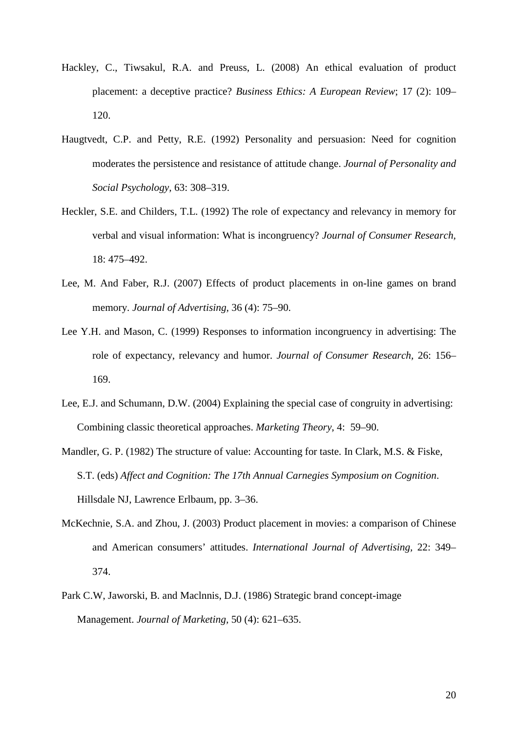- Hackley, C., Tiwsakul, R.A. and Preuss, L. (2008) An ethical evaluation of product placement: a deceptive practice? *[Business Ethics: A European Review](javascript:__doLinkPostBack()*; 17 (2): 109– 120.
- Haugtvedt, C.P. and Petty, R.E. (1992) Personality and persuasion: Need for cognition moderates the persistence and resistance of attitude change. *Journal of Personality and Social Psychology,* 63: 308–319.
- Heckler, S.E. and Childers, T.L. (1992) The role of expectancy and relevancy in memory for verbal and visual information: What is incongruency? *Journal of Consumer Research,* 18: 475–492.
- Lee, M. And Faber, R.J. (2007) Effects of product placements in on-line games on brand memory. *Journal of Advertising,* 36 (4): 75–90.
- Lee Y.H. and Mason, C. (1999) Responses to information incongruency in advertising: The role of expectancy, relevancy and humor. *Journal of Consumer Research,* 26: 156– 169.
- Lee, E.J. and Schumann, D.W. (2004) Explaining the special case of congruity in advertising: Combining classic theoretical approaches. *Marketing Theory*, 4: 59–90.
- Mandler, G. P. (1982) The structure of value: Accounting for taste. In Clark, M.S. & Fiske, S.T. (eds) *Affect and Cognition: The 17th Annual Carnegies Symposium on Cognition*. Hillsdale NJ, Lawrence Erlbaum, pp. 3–36.
- McKechnie, S.A. and Zhou, J. (2003) Product placement in movies: a comparison of Chinese and American consumers' attitudes. *International Journal of Advertising,* 22: 349– 374.
- Park C.W, Jaworski, B. and Maclnnis, D.J. (1986) Strategic brand concept-image Management. *Journal of Marketing,* 50 (4): 621–635.